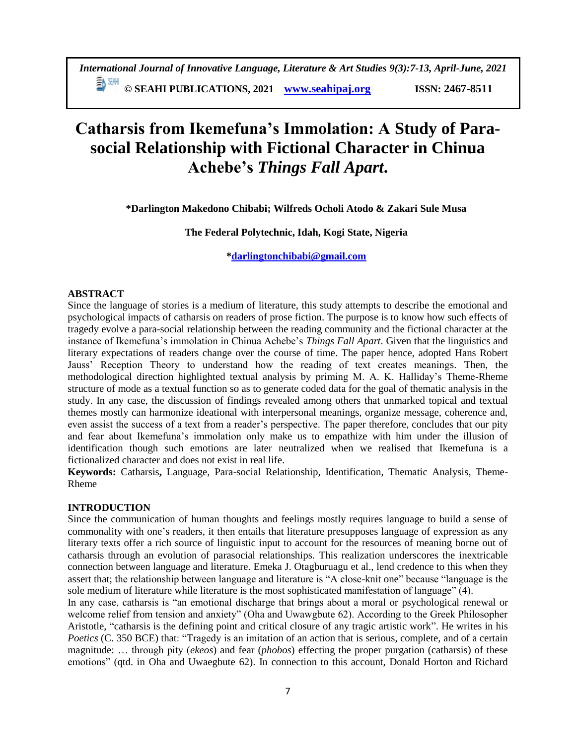# **Catharsis from Ikemefuna's Immolation: A Study of Parasocial Relationship with Fictional Character in Chinua Achebe's** *Things Fall Apart***.**

**\*Darlington Makedono Chibabi; Wilfreds Ocholi Atodo & Zakari Sule Musa**

**The Federal Polytechnic, Idah, Kogi State, Nigeria**

**[\\*darlingtonchibabi@gmail.com](mailto:darlingtonchibabi@gmail.com)**

# **ABSTRACT**

Since the language of stories is a medium of literature, this study attempts to describe the emotional and psychological impacts of catharsis on readers of prose fiction. The purpose is to know how such effects of tragedy evolve a para-social relationship between the reading community and the fictional character at the instance of Ikemefuna's immolation in Chinua Achebe's *Things Fall Apart*. Given that the linguistics and literary expectations of readers change over the course of time. The paper hence, adopted Hans Robert Jauss' Reception Theory to understand how the reading of text creates meanings. Then, the methodological direction highlighted textual analysis by priming M. A. K. Halliday's Theme-Rheme structure of mode as a textual function so as to generate coded data for the goal of thematic analysis in the study. In any case, the discussion of findings revealed among others that unmarked topical and textual themes mostly can harmonize ideational with interpersonal meanings, organize message, coherence and, even assist the success of a text from a reader's perspective. The paper therefore, concludes that our pity and fear about Ikemefuna's immolation only make us to empathize with him under the illusion of identification though such emotions are later neutralized when we realised that Ikemefuna is a fictionalized character and does not exist in real life.

**Keywords:** Catharsis**,** Language, Para-social Relationship, Identification, Thematic Analysis, Theme-Rheme

# **INTRODUCTION**

Since the communication of human thoughts and feelings mostly requires language to build a sense of commonality with one's readers, it then entails that literature presupposes language of expression as any literary texts offer a rich source of linguistic input to account for the resources of meaning borne out of catharsis through an evolution of parasocial relationships. This realization underscores the inextricable connection between language and literature. Emeka J. Otagburuagu et al., lend credence to this when they assert that; the relationship between language and literature is "A close-knit one" because "language is the sole medium of literature while literature is the most sophisticated manifestation of language" (4).

In any case, catharsis is "an emotional discharge that brings about a moral or psychological renewal or welcome relief from tension and anxiety" (Oha and Uwawgbute 62). According to the Greek Philosopher Aristotle, "catharsis is the defining point and critical closure of any tragic artistic work". He writes in his *Poetics* (C. 350 BCE) that: "Tragedy is an imitation of an action that is serious, complete, and of a certain magnitude: … through pity (*ekeos*) and fear (*phobos*) effecting the proper purgation (catharsis) of these emotions" (qtd. in Oha and Uwaegbute 62). In connection to this account, Donald Horton and Richard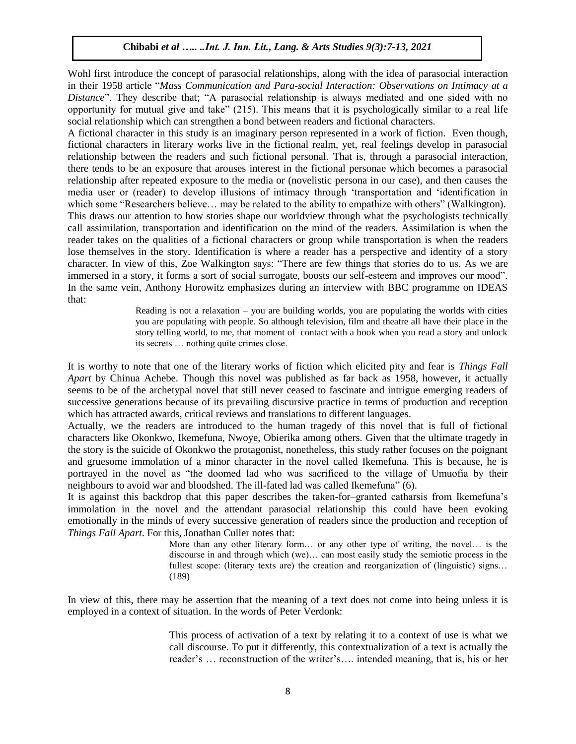Wohl first introduce the concept of parasocial relationships, along with the idea of parasocial interaction in their 1958 article "*Mass Communication and Para-social Interaction: Observations on Intimacy at a Distance*". They describe that; "A parasocial relationship is always mediated and one sided with no opportunity for mutual give and take" (215). This means that it is psychologically similar to a real life social relationship which can strengthen a bond between readers and fictional characters.

A fictional character in this study is an imaginary person represented in a work of fiction. Even though, fictional characters in literary works live in the fictional realm, yet, real feelings develop in parasocial relationship between the readers and such fictional personal. That is, through a parasocial interaction, there tends to be an exposure that arouses interest in the fictional personae which becomes a parasocial relationship after repeated exposure to the media or (novelistic persona in our case), and then causes the media user or (reader) to develop illusions of intimacy through 'transportation and 'identification in which some "Researchers believe... may be related to the ability to empathize with others" (Walkington). This draws our attention to how stories shape our worldview through what the psychologists technically call assimilation, transportation and identification on the mind of the readers. Assimilation is when the reader takes on the qualities of a fictional characters or group while transportation is when the readers lose themselves in the story. Identification is where a reader has a perspective and identity of a story character. In view of this, Zoe Walkington says: "There are few things that stories do to us. As we are immersed in a story, it forms a sort of social surrogate, boosts our self-esteem and improves our mood". In the same vein, Anthony Horowitz emphasizes during an interview with BBC programme on IDEAS that:

> Reading is not a relaxation – you are building worlds, you are populating the worlds with cities you are populating with people. So although television, film and theatre all have their place in the story telling world, to me, that moment of contact with a book when you read a story and unlock its secrets … nothing quite crimes close.

It is worthy to note that one of the literary works of fiction which elicited pity and fear is *Things Fall Apart* by Chinua Achebe. Though this novel was published as far back as 1958, however, it actually seems to be of the archetypal novel that still never ceased to fascinate and intrigue emerging readers of successive generations because of its prevailing discursive practice in terms of production and reception which has attracted awards, critical reviews and translations to different languages.

Actually, we the readers are introduced to the human tragedy of this novel that is full of fictional characters like Okonkwo, Ikemefuna, Nwoye, Obierika among others. Given that the ultimate tragedy in the story is the suicide of Okonkwo the protagonist, nonetheless, this study rather focuses on the poignant and gruesome immolation of a minor character in the novel called Ikemefuna. This is because, he is portrayed in the novel as "the doomed lad who was sacrificed to the village of Umuofia by their neighbours to avoid war and bloodshed. The ill-fated lad was called Ikemefuna" (6).

It is against this backdrop that this paper describes the taken-for–granted catharsis from Ikemefuna's immolation in the novel and the attendant parasocial relationship this could have been evoking emotionally in the minds of every successive generation of readers since the production and reception of *Things Fall Apart*. For this, Jonathan Culler notes that:

> More than any other literary form… or any other type of writing, the novel… is the discourse in and through which (we)… can most easily study the semiotic process in the fullest scope: (literary texts are) the creation and reorganization of (linguistic) signs... (189)

In view of this, there may be assertion that the meaning of a text does not come into being unless it is employed in a context of situation. In the words of Peter Verdonk:

> This process of activation of a text by relating it to a context of use is what we call discourse. To put it differently, this contextualization of a text is actually the reader's … reconstruction of the writer's…. intended meaning, that is, his or her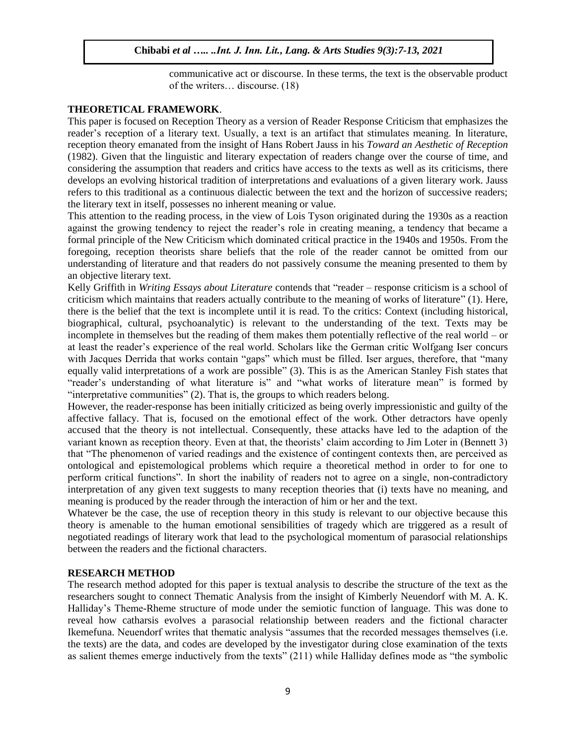communicative act or discourse. In these terms, the text is the observable product of the writers… discourse. (18)

#### **THEORETICAL FRAMEWORK**.

This paper is focused on Reception Theory as a version of Reader Response Criticism that emphasizes the reader's reception of a literary text. Usually, a text is an artifact that stimulates meaning. In literature, reception theory emanated from the insight of Hans Robert Jauss in his *Toward an Aesthetic of Reception* (1982). Given that the linguistic and literary expectation of readers change over the course of time, and considering the assumption that readers and critics have access to the texts as well as its criticisms, there develops an evolving historical tradition of interpretations and evaluations of a given literary work. Jauss refers to this traditional as a continuous dialectic between the text and the horizon of successive readers; the literary text in itself, possesses no inherent meaning or value.

This attention to the reading process, in the view of Lois Tyson originated during the 1930s as a reaction against the growing tendency to reject the reader's role in creating meaning, a tendency that became a formal principle of the New Criticism which dominated critical practice in the 1940s and 1950s. From the foregoing, reception theorists share beliefs that the role of the reader cannot be omitted from our understanding of literature and that readers do not passively consume the meaning presented to them by an objective literary text.

Kelly Griffith in *Writing Essays about Literature* contends that "reader – response criticism is a school of criticism which maintains that readers actually contribute to the meaning of works of literature" (1). Here, there is the belief that the text is incomplete until it is read. To the critics: Context (including historical, biographical, cultural, psychoanalytic) is relevant to the understanding of the text. Texts may be incomplete in themselves but the reading of them makes them potentially reflective of the real world – or at least the reader's experience of the real world. Scholars like the German critic Wolfgang Iser concurs with Jacques Derrida that works contain "gaps" which must be filled. Iser argues, therefore, that "many equally valid interpretations of a work are possible" (3). This is as the American Stanley Fish states that "reader's understanding of what literature is" and "what works of literature mean" is formed by "interpretative communities" (2). That is, the groups to which readers belong.

However, the reader-response has been initially criticized as being overly impressionistic and guilty of the affective fallacy. That is, focused on the emotional effect of the work. Other detractors have openly accused that the theory is not intellectual. Consequently, these attacks have led to the adaption of the variant known as reception theory. Even at that, the theorists' claim according to Jim Loter in (Bennett 3) that "The phenomenon of varied readings and the existence of contingent contexts then, are perceived as ontological and epistemological problems which require a theoretical method in order to for one to perform critical functions". In short the inability of readers not to agree on a single, non-contradictory interpretation of any given text suggests to many reception theories that (i) texts have no meaning, and meaning is produced by the reader through the interaction of him or her and the text.

Whatever be the case, the use of reception theory in this study is relevant to our objective because this theory is amenable to the human emotional sensibilities of tragedy which are triggered as a result of negotiated readings of literary work that lead to the psychological momentum of parasocial relationships between the readers and the fictional characters.

#### **RESEARCH METHOD**

The research method adopted for this paper is textual analysis to describe the structure of the text as the researchers sought to connect Thematic Analysis from the insight of Kimberly Neuendorf with M. A. K. Halliday's Theme-Rheme structure of mode under the semiotic function of language. This was done to reveal how catharsis evolves a parasocial relationship between readers and the fictional character Ikemefuna. Neuendorf writes that thematic analysis "assumes that the recorded messages themselves (i.e. the texts) are the data, and codes are developed by the investigator during close examination of the texts as salient themes emerge inductively from the texts" (211) while Halliday defines mode as "the symbolic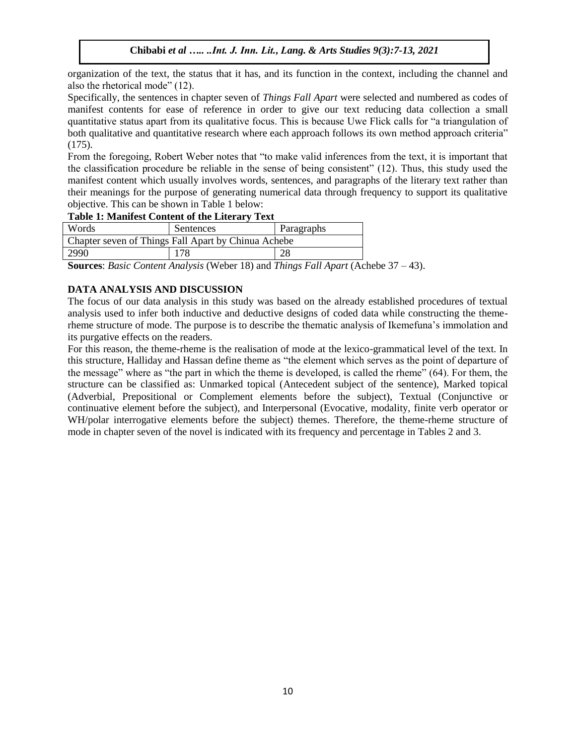organization of the text, the status that it has, and its function in the context, including the channel and also the rhetorical mode" (12).

Specifically, the sentences in chapter seven of *Things Fall Apart* were selected and numbered as codes of manifest contents for ease of reference in order to give our text reducing data collection a small quantitative status apart from its qualitative focus. This is because Uwe Flick calls for "a triangulation of both qualitative and quantitative research where each approach follows its own method approach criteria" (175).

From the foregoing, Robert Weber notes that "to make valid inferences from the text, it is important that the classification procedure be reliable in the sense of being consistent" (12). Thus, this study used the manifest content which usually involves words, sentences, and paragraphs of the literary text rather than their meanings for the purpose of generating numerical data through frequency to support its qualitative objective. This can be shown in Table 1 below:

### **Table 1: Manifest Content of the Literary Text**

| Words                                               | Sentences | Paragraphs |  |  |  |
|-----------------------------------------------------|-----------|------------|--|--|--|
| Chapter seven of Things Fall Apart by Chinua Achebe |           |            |  |  |  |
| 2990                                                | 178       | 28         |  |  |  |

**Sources**: *Basic Content Analysis* (Weber 18) and *Things Fall Apart* (Achebe 37 – 43).

# **DATA ANALYSIS AND DISCUSSION**

The focus of our data analysis in this study was based on the already established procedures of textual analysis used to infer both inductive and deductive designs of coded data while constructing the themerheme structure of mode. The purpose is to describe the thematic analysis of Ikemefuna's immolation and its purgative effects on the readers.

For this reason, the theme-rheme is the realisation of mode at the lexico-grammatical level of the text. In this structure, Halliday and Hassan define theme as "the element which serves as the point of departure of the message" where as "the part in which the theme is developed, is called the rheme" (64). For them, the structure can be classified as: Unmarked topical (Antecedent subject of the sentence), Marked topical (Adverbial, Prepositional or Complement elements before the subject), Textual (Conjunctive or continuative element before the subject), and Interpersonal (Evocative, modality, finite verb operator or WH/polar interrogative elements before the subject) themes. Therefore, the theme-rheme structure of mode in chapter seven of the novel is indicated with its frequency and percentage in Tables 2 and 3.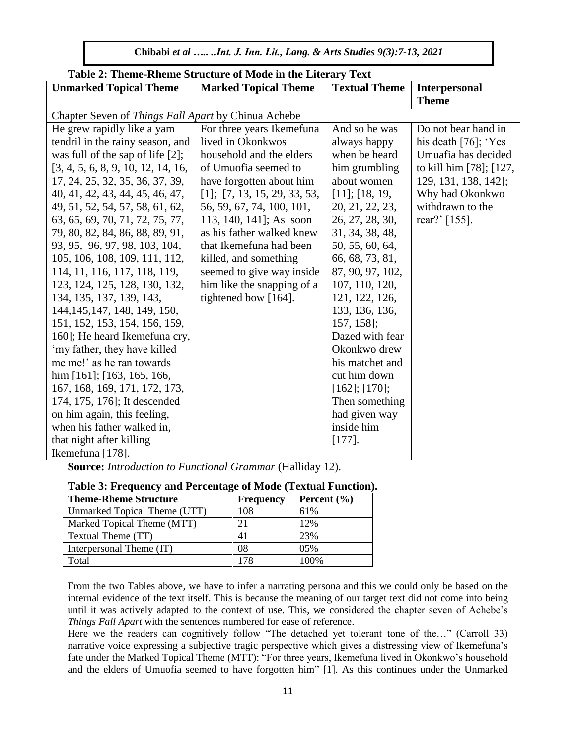| Table 2. Theme-Kheme Structure of Mode in the Literary Text |                                   |                      |                         |  |
|-------------------------------------------------------------|-----------------------------------|----------------------|-------------------------|--|
| <b>Unmarked Topical Theme</b>                               | <b>Marked Topical Theme</b>       | <b>Textual Theme</b> | <b>Interpersonal</b>    |  |
|                                                             |                                   |                      | <b>Theme</b>            |  |
| Chapter Seven of Things Fall Apart by Chinua Achebe         |                                   |                      |                         |  |
| He grew rapidly like a yam                                  | For three years Ikemefuna         | And so he was        | Do not bear hand in     |  |
| tendril in the rainy season, and                            | lived in Okonkwos                 | always happy         | his death $[76]$ ; 'Yes |  |
| was full of the sap of life $[2]$ ;                         | household and the elders          | when be heard        | Umuafia has decided     |  |
| [3, 4, 5, 6, 8, 9, 10, 12, 14, 16,                          | of Umuofia seemed to              | him grumbling        | to kill him [78]; [127, |  |
| 17, 24, 25, 32, 35, 36, 37, 39,                             | have forgotten about him          | about women          | 129, 131, 138, 142];    |  |
| 40, 41, 42, 43, 44, 45, 46, 47,                             | $[1]$ ; $[7, 13, 15, 29, 33, 53,$ | [11]; [18, 19,       | Why had Okonkwo         |  |
| 49, 51, 52, 54, 57, 58, 61, 62,                             | 56, 59, 67, 74, 100, 101,         | 20, 21, 22, 23,      | withdrawn to the        |  |
| 63, 65, 69, 70, 71, 72, 75, 77,                             | 113, 140, 141; As soon            | 26, 27, 28, 30,      | rear?' [155].           |  |
| 79, 80, 82, 84, 86, 88, 89, 91,                             | as his father walked knew         | 31, 34, 38, 48,      |                         |  |
| 93, 95, 96, 97, 98, 103, 104,                               | that Ikemefuna had been           | 50, 55, 60, 64,      |                         |  |
| 105, 106, 108, 109, 111, 112,                               | killed, and something             | 66, 68, 73, 81,      |                         |  |
| 114, 11, 116, 117, 118, 119,                                | seemed to give way inside         | 87, 90, 97, 102,     |                         |  |
| 123, 124, 125, 128, 130, 132,                               | him like the snapping of a        | 107, 110, 120,       |                         |  |
| 134, 135, 137, 139, 143,                                    | tightened bow [164].              | 121, 122, 126,       |                         |  |
| 144, 145, 147, 148, 149, 150,                               |                                   | 133, 136, 136,       |                         |  |
| 151, 152, 153, 154, 156, 159,                               |                                   | 157, 158];           |                         |  |
| 160]; He heard Ikemefuna cry,                               |                                   | Dazed with fear      |                         |  |
| 'my father, they have killed                                |                                   | Okonkwo drew         |                         |  |
| me me!' as he ran towards                                   |                                   | his matchet and      |                         |  |
| him [161]; [163, 165, 166,                                  |                                   | cut him down         |                         |  |
| 167, 168, 169, 171, 172, 173,                               |                                   | $[162]$ ; $[170]$ ;  |                         |  |
| 174, 175, 176; It descended                                 |                                   | Then something       |                         |  |
| on him again, this feeling,                                 |                                   | had given way        |                         |  |
| when his father walked in,                                  |                                   | inside him           |                         |  |
| that night after killing                                    |                                   | $[177]$ .            |                         |  |
| Ikemefuna [178].                                            |                                   |                      |                         |  |

# **Table 2: Theme-Rheme Structure of Mode in the Literary Text**

**Source:** *Introduction to Functional Grammar* (Halliday 12).

# **Table 3: Frequency and Percentage of Mode (Textual Function).**

| <b>Theme-Rheme Structure</b> | <b>Frequency</b> | Percent $(\% )$ |
|------------------------------|------------------|-----------------|
| Unmarked Topical Theme (UTT) | 108              | 61\%            |
| Marked Topical Theme (MTT)   |                  | 12%             |
| Textual Theme (TT)           | 41               | 23%             |
| Interpersonal Theme (IT)     | 08               | $0.5\%$         |
| Fotal                        | 178              | 100%            |

From the two Tables above, we have to infer a narrating persona and this we could only be based on the internal evidence of the text itself. This is because the meaning of our target text did not come into being until it was actively adapted to the context of use. This, we considered the chapter seven of Achebe's *Things Fall Apart* with the sentences numbered for ease of reference.

Here we the readers can cognitively follow "The detached yet tolerant tone of the..." (Carroll 33) narrative voice expressing a subjective tragic perspective which gives a distressing view of Ikemefuna's fate under the Marked Topical Theme (MTT): "For three years, Ikemefuna lived in Okonkwo's household and the elders of Umuofia seemed to have forgotten him" [1]. As this continues under the Unmarked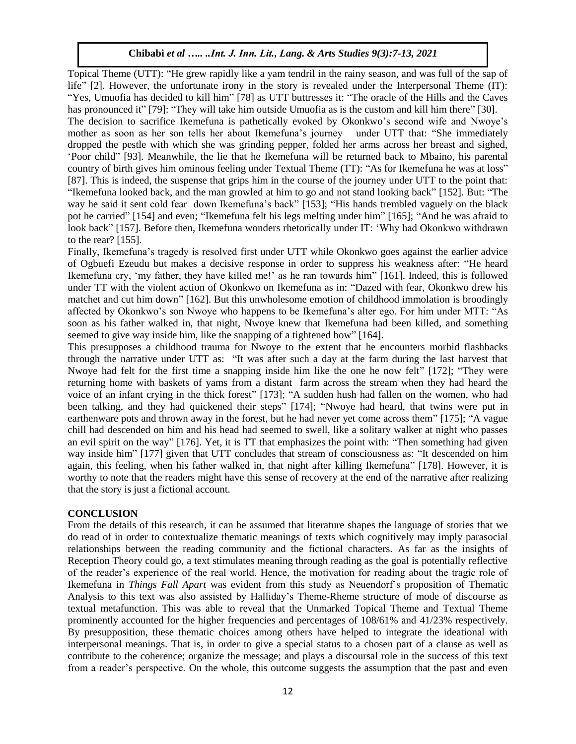Topical Theme (UTT): "He grew rapidly like a yam tendril in the rainy season, and was full of the sap of life" [2]. However, the unfortunate irony in the story is revealed under the Interpersonal Theme (IT): "Yes, Umuofia has decided to kill him" [78] as UTT buttresses it: "The oracle of the Hills and the Caves has pronounced it" [79]: "They will take him outside Umuofia as is the custom and kill him there" [30]. The decision to sacrifice Ikemefuna is pathetically evoked by Okonkwo's second wife and Nwoye's mother as soon as her son tells her about Ikemefuna's journey under UTT that: "She immediately dropped the pestle with which she was grinding pepper, folded her arms across her breast and sighed, 'Poor child" [93]. Meanwhile, the lie that he Ikemefuna will be returned back to Mbaino, his parental country of birth gives him ominous feeling under Textual Theme (TT): "As for Ikemefuna he was at loss" [87]. This is indeed, the suspense that grips him in the course of the journey under UTT to the point that: "Ikemefuna looked back, and the man growled at him to go and not stand looking back" [152]. But: "The way he said it sent cold fear down Ikemefuna's back" [153]; "His hands trembled vaguely on the black pot he carried" [154] and even; "Ikemefuna felt his legs melting under him" [165]; "And he was afraid to look back" [157]. Before then, Ikemefuna wonders rhetorically under IT: 'Why had Okonkwo withdrawn to the rear? [155].

Finally, Ikemefuna's tragedy is resolved first under UTT while Okonkwo goes against the earlier advice of Ogbuefi Ezeudu but makes a decisive response in order to suppress his weakness after: "He heard Ikemefuna cry, 'my father, they have killed me!' as he ran towards him" [161]. Indeed, this is followed under TT with the violent action of Okonkwo on Ikemefuna as in: "Dazed with fear, Okonkwo drew his matchet and cut him down" [162]. But this unwholesome emotion of childhood immolation is broodingly affected by Okonkwo's son Nwoye who happens to be Ikemefuna's alter ego. For him under MTT: "As soon as his father walked in, that night, Nwoye knew that Ikemefuna had been killed, and something seemed to give way inside him, like the snapping of a tightened bow" [164].

This presupposes a childhood trauma for Nwoye to the extent that he encounters morbid flashbacks through the narrative under UTT as: "It was after such a day at the farm during the last harvest that Nwoye had felt for the first time a snapping inside him like the one he now felt" [172]; "They were returning home with baskets of yams from a distant farm across the stream when they had heard the voice of an infant crying in the thick forest" [173]; "A sudden hush had fallen on the women, who had been talking, and they had quickened their steps" [174]; "Nwoye had heard, that twins were put in earthenware pots and thrown away in the forest, but he had never yet come across them" [175]; "A vague chill had descended on him and his head had seemed to swell, like a solitary walker at night who passes an evil spirit on the way" [176]. Yet, it is TT that emphasizes the point with: "Then something had given way inside him" [177] given that UTT concludes that stream of consciousness as: "It descended on him again, this feeling, when his father walked in, that night after killing Ikemefuna" [178]. However, it is worthy to note that the readers might have this sense of recovery at the end of the narrative after realizing that the story is just a fictional account.

# **CONCLUSION**

From the details of this research, it can be assumed that literature shapes the language of stories that we do read of in order to contextualize thematic meanings of texts which cognitively may imply parasocial relationships between the reading community and the fictional characters. As far as the insights of Reception Theory could go, a text stimulates meaning through reading as the goal is potentially reflective of the reader's experience of the real world. Hence, the motivation for reading about the tragic role of Ikemefuna in *Things Fall Apart* was evident from this study as Neuendorf's proposition of Thematic Analysis to this text was also assisted by Halliday's Theme-Rheme structure of mode of discourse as textual metafunction. This was able to reveal that the Unmarked Topical Theme and Textual Theme prominently accounted for the higher frequencies and percentages of 108/61% and 41/23% respectively. By presupposition, these thematic choices among others have helped to integrate the ideational with interpersonal meanings. That is, in order to give a special status to a chosen part of a clause as well as contribute to the coherence; organize the message; and plays a discoursal role in the success of this text from a reader's perspective. On the whole, this outcome suggests the assumption that the past and even